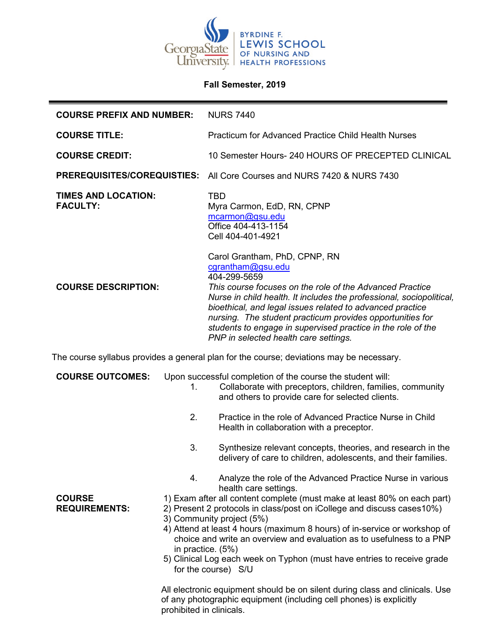

## **Fall Semester, 2019**

| <b>COURSE PREFIX AND NUMBER:</b>                                                         |                          | <b>NURS 7440</b>                                                                                                                                                                                                                                                                                                                                                                                                                                                                                                                                     |
|------------------------------------------------------------------------------------------|--------------------------|------------------------------------------------------------------------------------------------------------------------------------------------------------------------------------------------------------------------------------------------------------------------------------------------------------------------------------------------------------------------------------------------------------------------------------------------------------------------------------------------------------------------------------------------------|
| <b>COURSE TITLE:</b>                                                                     |                          | <b>Practicum for Advanced Practice Child Health Nurses</b>                                                                                                                                                                                                                                                                                                                                                                                                                                                                                           |
| <b>COURSE CREDIT:</b>                                                                    |                          | 10 Semester Hours- 240 HOURS OF PRECEPTED CLINICAL                                                                                                                                                                                                                                                                                                                                                                                                                                                                                                   |
|                                                                                          |                          | <b>PREREQUISITES/COREQUISTIES:</b> All Core Courses and NURS 7420 & NURS 7430                                                                                                                                                                                                                                                                                                                                                                                                                                                                        |
| <b>TIMES AND LOCATION:</b><br><b>FACULTY:</b>                                            |                          | <b>TBD</b><br>Myra Carmon, EdD, RN, CPNP<br>mcarmon@gsu.edu<br>Office 404-413-1154<br>Cell 404-401-4921                                                                                                                                                                                                                                                                                                                                                                                                                                              |
| <b>COURSE DESCRIPTION:</b>                                                               |                          | Carol Grantham, PhD, CPNP, RN<br>cgrantham@gsu.edu<br>404-299-5659<br>This course focuses on the role of the Advanced Practice<br>Nurse in child health. It includes the professional, sociopolitical,<br>bioethical, and legal issues related to advanced practice<br>nursing. The student practicum provides opportunities for<br>students to engage in supervised practice in the role of the<br>PNP in selected health care settings.                                                                                                            |
| The course syllabus provides a general plan for the course; deviations may be necessary. |                          |                                                                                                                                                                                                                                                                                                                                                                                                                                                                                                                                                      |
| <b>COURSE OUTCOMES:</b>                                                                  | 1.                       | Upon successful completion of the course the student will:<br>Collaborate with preceptors, children, families, community<br>and others to provide care for selected clients.                                                                                                                                                                                                                                                                                                                                                                         |
|                                                                                          | 2.                       | Practice in the role of Advanced Practice Nurse in Child<br>Health in collaboration with a preceptor.                                                                                                                                                                                                                                                                                                                                                                                                                                                |
|                                                                                          | 3.                       | Synthesize relevant concepts, theories, and research in the<br>delivery of care to children, adolescents, and their families.                                                                                                                                                                                                                                                                                                                                                                                                                        |
| <b>COURSE</b><br><b>REQUIREMENTS:</b>                                                    | 4.                       | Analyze the role of the Advanced Practice Nurse in various<br>health care settings.<br>1) Exam after all content complete (must make at least 80% on each part)<br>2) Present 2 protocols in class/post on iCollege and discuss cases 10%)<br>3) Community project (5%)<br>4) Attend at least 4 hours (maximum 8 hours) of in-service or workshop of<br>choice and write an overview and evaluation as to usefulness to a PNP<br>in practice. (5%)<br>5) Clinical Log each week on Typhon (must have entries to receive grade<br>for the course) S/U |
|                                                                                          | prohibited in clinicals. | All electronic equipment should be on silent during class and clinicals. Use<br>of any photographic equipment (including cell phones) is explicitly                                                                                                                                                                                                                                                                                                                                                                                                  |